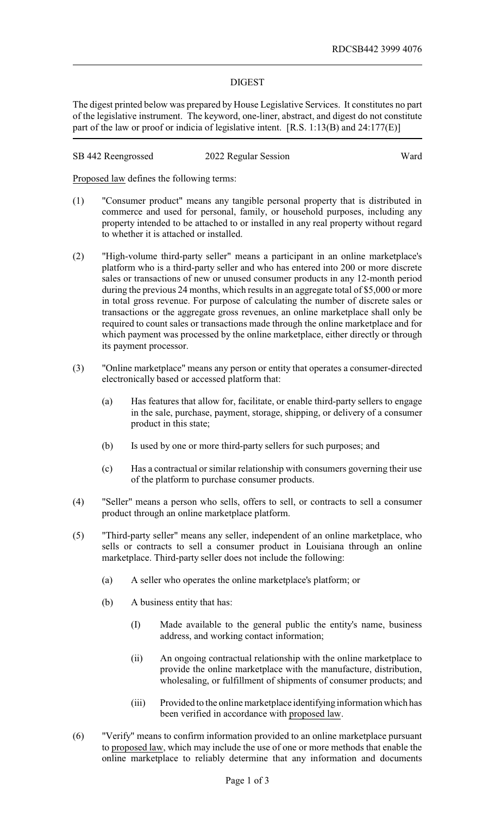## DIGEST

The digest printed below was prepared by House Legislative Services. It constitutes no part of the legislative instrument. The keyword, one-liner, abstract, and digest do not constitute part of the law or proof or indicia of legislative intent. [R.S. 1:13(B) and 24:177(E)]

SB 442 Reengrossed 2022 Regular Session Ward

Proposed law defines the following terms:

- (1) "Consumer product" means any tangible personal property that is distributed in commerce and used for personal, family, or household purposes, including any property intended to be attached to or installed in any real property without regard to whether it is attached or installed.
- (2) "High-volume third-party seller" means a participant in an online marketplace's platform who is a third-party seller and who has entered into 200 or more discrete sales or transactions of new or unused consumer products in any 12-month period during the previous 24 months, which results in an aggregate total of \$5,000 or more in total gross revenue. For purpose of calculating the number of discrete sales or transactions or the aggregate gross revenues, an online marketplace shall only be required to count sales or transactions made through the online marketplace and for which payment was processed by the online marketplace, either directly or through its payment processor.
- (3) "Online marketplace" means any person or entity that operates a consumer-directed electronically based or accessed platform that:
	- (a) Has features that allow for, facilitate, or enable third-party sellers to engage in the sale, purchase, payment, storage, shipping, or delivery of a consumer product in this state;
	- (b) Is used by one or more third-party sellers for such purposes; and
	- (c) Has a contractual or similar relationship with consumers governing their use of the platform to purchase consumer products.
- (4) "Seller" means a person who sells, offers to sell, or contracts to sell a consumer product through an online marketplace platform.
- (5) "Third-party seller" means any seller, independent of an online marketplace, who sells or contracts to sell a consumer product in Louisiana through an online marketplace. Third-party seller does not include the following:
	- (a) A seller who operates the online marketplace's platform; or
	- (b) A business entity that has:
		- (I) Made available to the general public the entity's name, business address, and working contact information;
		- (ii) An ongoing contractual relationship with the online marketplace to provide the online marketplace with the manufacture, distribution, wholesaling, or fulfillment of shipments of consumer products; and
		- (iii) Provided to the online marketplace identifying information which has been verified in accordance with proposed law.
- (6) "Verify" means to confirm information provided to an online marketplace pursuant to proposed law, which may include the use of one or more methods that enable the online marketplace to reliably determine that any information and documents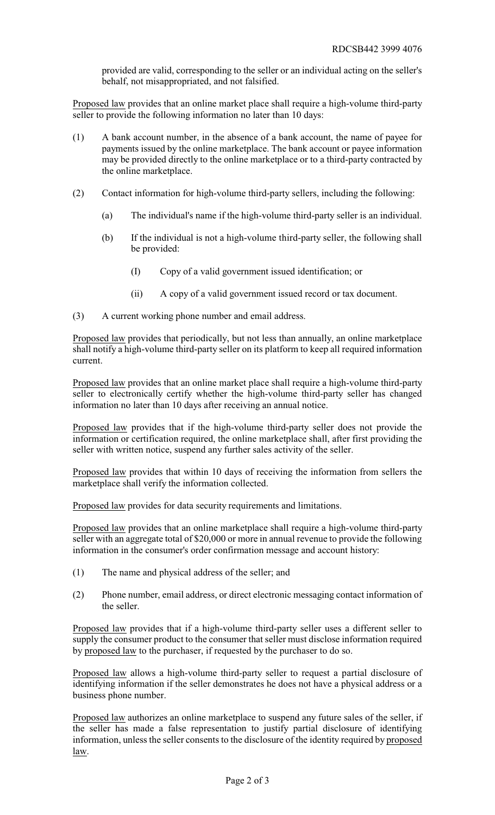provided are valid, corresponding to the seller or an individual acting on the seller's behalf, not misappropriated, and not falsified.

Proposed law provides that an online market place shall require a high-volume third-party seller to provide the following information no later than 10 days:

- (1) A bank account number, in the absence of a bank account, the name of payee for payments issued by the online marketplace. The bank account or payee information may be provided directly to the online marketplace or to a third-party contracted by the online marketplace.
- (2) Contact information for high-volume third-party sellers, including the following:
	- (a) The individual's name if the high-volume third-party seller is an individual.
	- (b) If the individual is not a high-volume third-party seller, the following shall be provided:
		- (I) Copy of a valid government issued identification; or
		- (ii) A copy of a valid government issued record or tax document.
- (3) A current working phone number and email address.

Proposed law provides that periodically, but not less than annually, an online marketplace shall notify a high-volume third-party seller on its platform to keep all required information current.

Proposed law provides that an online market place shall require a high-volume third-party seller to electronically certify whether the high-volume third-party seller has changed information no later than 10 days after receiving an annual notice.

Proposed law provides that if the high-volume third-party seller does not provide the information or certification required, the online marketplace shall, after first providing the seller with written notice, suspend any further sales activity of the seller.

Proposed law provides that within 10 days of receiving the information from sellers the marketplace shall verify the information collected.

Proposed law provides for data security requirements and limitations.

Proposed law provides that an online marketplace shall require a high-volume third-party seller with an aggregate total of \$20,000 or more in annual revenue to provide the following information in the consumer's order confirmation message and account history:

- (1) The name and physical address of the seller; and
- (2) Phone number, email address, or direct electronic messaging contact information of the seller.

Proposed law provides that if a high-volume third-party seller uses a different seller to supply the consumer product to the consumer that seller must disclose information required by proposed law to the purchaser, if requested by the purchaser to do so.

Proposed law allows a high-volume third-party seller to request a partial disclosure of identifying information if the seller demonstrates he does not have a physical address or a business phone number.

Proposed law authorizes an online marketplace to suspend any future sales of the seller, if the seller has made a false representation to justify partial disclosure of identifying information, unless the seller consents to the disclosure of the identity required by proposed law.